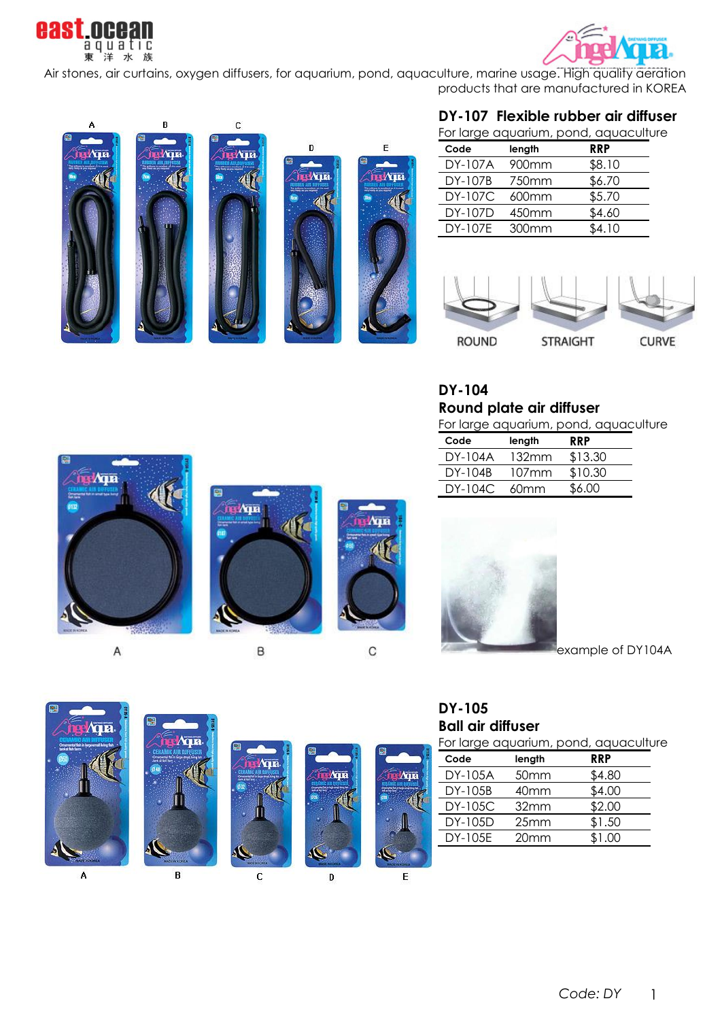



Air stones, air curtains, oxygen diffusers, for aquarium, pond, aquaculture, marine usage. High quality aeration products that are manufactured in KOREA



## **DY-107 Flexible rubber air diffuser**

For large aquarium, pond, aquaculture

| Code           | length | <b>RRP</b> |
|----------------|--------|------------|
| DY-107A        | 900mm  | \$8.10     |
| DY-107B        | 750mm  | \$6.70     |
| <b>DY-107C</b> | 600mm  | \$5.70     |
| DY-107D        | 450mm  | \$4.60     |
| DY-107E        | 300mm  | \$4.10     |



**DY-104**

**Round plate air diffuser**

|  | For large aquarium, pond, aquaculture |
|--|---------------------------------------|
|  |                                       |

| Code    | length | <b>RRP</b> |
|---------|--------|------------|
| DY-104A | 132mm  | \$13.30    |
| DY-104B | 107mm  | \$10.30    |
| DY-104C | 60mm   | \$6.00     |
|         |        |            |



Α



B



example of DY104A



**Ball air diffuser**

|  |  | For large aquarium, pond, aquaculture |
|--|--|---------------------------------------|
|  |  |                                       |

| Code    | length           | <b>RRP</b> |
|---------|------------------|------------|
| DY-105A | 50 <sub>mm</sub> | \$4.80     |
| DY-105B | 40 <sub>mm</sub> | \$4.00     |
| DY-105C | 32mm             | \$2.00     |
| DY-105D | 25mm             | \$1.50     |
| DY-105E | 20mm             | \$1.00     |
|         |                  |            |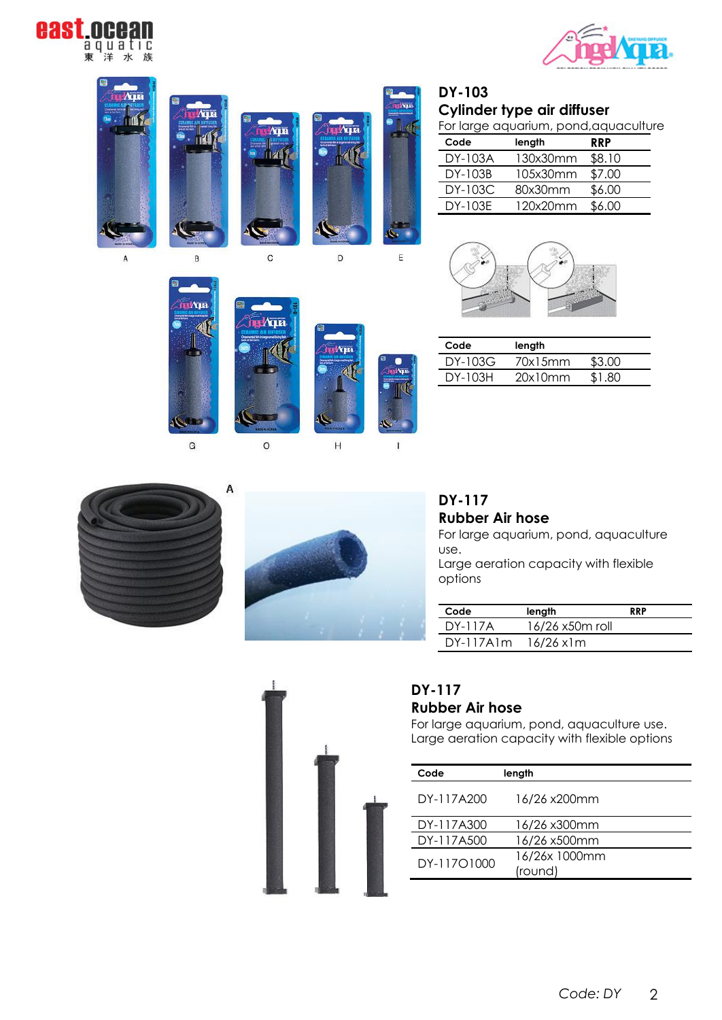





 $\circ$ 

| <b>DY-103</b>              |
|----------------------------|
| Cylinder type air diffuser |
| Earlarge gaugrium pend ag  |

For large aquarium, pond, aquaculture

| Code           | length   | <b>RRP</b> |
|----------------|----------|------------|
| DY-103A        | 130x30mm | \$8.10     |
| DY-103B        | 105x30mm | \$7.00     |
| <b>DY-103C</b> | 80x30mm  | \$6.00     |
| DY-103E        | 120x20mm | \$6.00     |



| Code    | length  |        |
|---------|---------|--------|
| DY-103G | 70x15mm | \$3.00 |
| DY-103H | 20x10mm | \$1.80 |



G



 $H$ 

 $\mathbf i$ 

**DY-117 Rubber Air hose**

For large aquarium, pond, aquaculture use.

Large aeration capacity with flexible options

| Code        | length          | <b>RRP</b> |
|-------------|-----------------|------------|
| DY-117A     | 16/26 x50m roll |            |
| $DY-117Alm$ | 16/26 x1m       |            |



# **DY-117**

## **Rubber Air hose**

For large aquarium, pond, aquaculture use. Large aeration capacity with flexible options

| Code        | length        |
|-------------|---------------|
| DY-117A200  | 16/26 x200mm  |
| DY-117A300  | 16/26 x300mm  |
| DY-117A500  | 16/26 x500mm  |
| DY-11701000 | 16/26x 1000mm |
|             | (round)       |